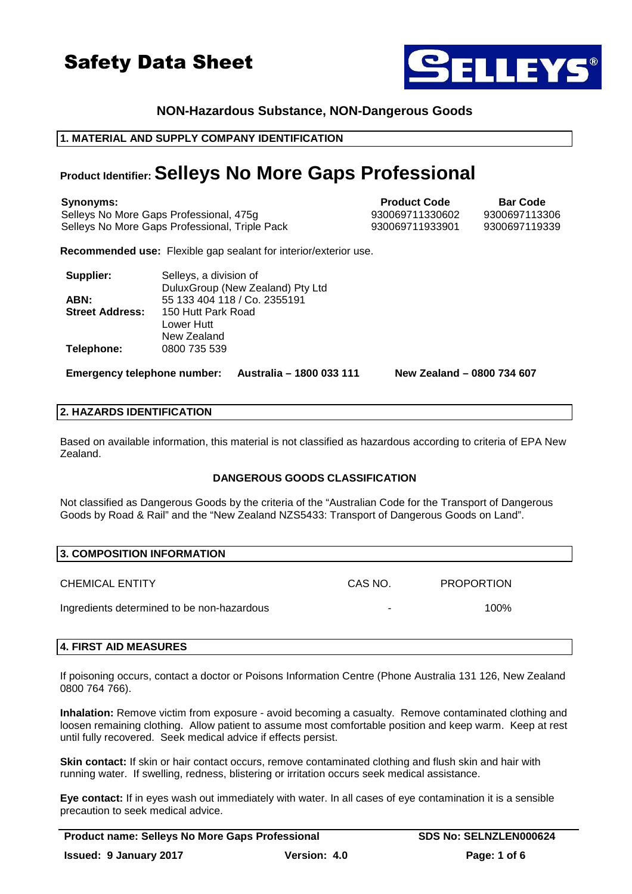

## **NON-Hazardous Substance, NON-Dangerous Goods**

## **1. MATERIAL AND SUPPLY COMPANY IDENTIFICATION**

## **Product Identifier: Selleys No More Gaps Professional**

**Synonyms: Product Code Bar Code** Selleys No More Gaps Professional, 475q  $930069711330602$  9300697113306 Selleys No More Gaps Professional, Triple Pack 930069711933901 9300697119339

**Recommended use:** Flexible gap sealant for interior/exterior use.

| Supplier:              | Selleys, a division of           |
|------------------------|----------------------------------|
|                        | DuluxGroup (New Zealand) Pty Ltd |
| ABN:                   | 55 133 404 118 / Co. 2355191     |
| <b>Street Address:</b> | 150 Hutt Park Road               |
|                        | Lower Hutt                       |
|                        | New Zealand                      |
| Telephone:             | 0800 735 539                     |

**Emergency telephone number: Australia – 1800 033 111 New Zealand – 0800 734 607**

## **2. HAZARDS IDENTIFICATION**

Based on available information, this material is not classified as hazardous according to criteria of EPA New Zealand.

## **DANGEROUS GOODS CLASSIFICATION**

Not classified as Dangerous Goods by the criteria of the "Australian Code for the Transport of Dangerous Goods by Road & Rail" and the "New Zealand NZS5433: Transport of Dangerous Goods on Land".

| <b>3. COMPOSITION INFORMATION</b>          |         |                   |  |  |
|--------------------------------------------|---------|-------------------|--|--|
| <b>CHEMICAL ENTITY</b>                     | CAS NO. | <b>PROPORTION</b> |  |  |
| Ingredients determined to be non-hazardous |         | 100%              |  |  |

### **4. FIRST AID MEASURES**

If poisoning occurs, contact a doctor or Poisons Information Centre (Phone Australia 131 126, New Zealand 0800 764 766).

**Inhalation:** Remove victim from exposure - avoid becoming a casualty. Remove contaminated clothing and loosen remaining clothing. Allow patient to assume most comfortable position and keep warm. Keep at rest until fully recovered. Seek medical advice if effects persist.

**Skin contact:** If skin or hair contact occurs, remove contaminated clothing and flush skin and hair with running water. If swelling, redness, blistering or irritation occurs seek medical assistance.

**Eye contact:** If in eyes wash out immediately with water. In all cases of eye contamination it is a sensible precaution to seek medical advice.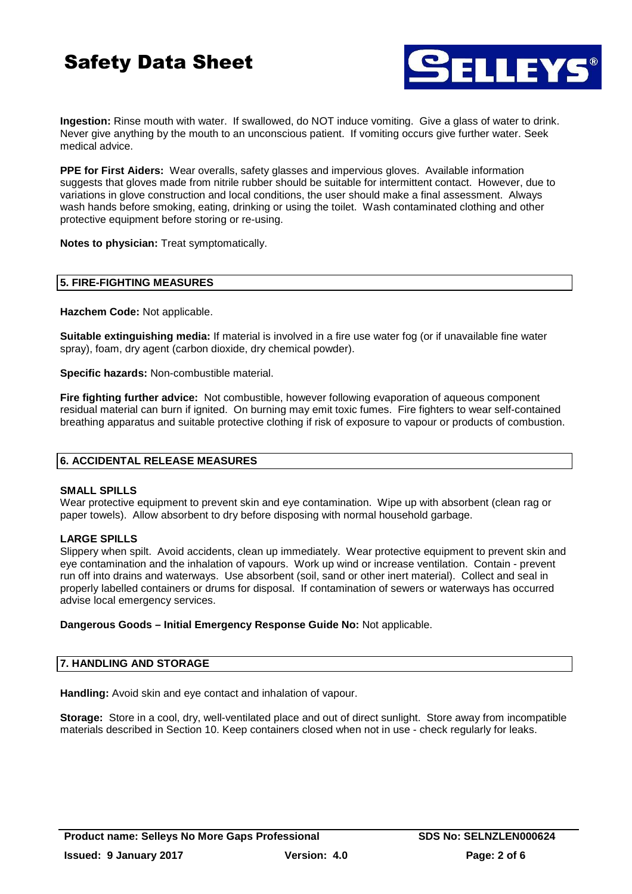

**Ingestion:** Rinse mouth with water. If swallowed, do NOT induce vomiting. Give a glass of water to drink. Never give anything by the mouth to an unconscious patient. If vomiting occurs give further water. Seek medical advice.

**PPE for First Aiders:** Wear overalls, safety glasses and impervious gloves. Available information suggests that gloves made from nitrile rubber should be suitable for intermittent contact. However, due to variations in glove construction and local conditions, the user should make a final assessment. Always wash hands before smoking, eating, drinking or using the toilet. Wash contaminated clothing and other protective equipment before storing or re-using.

**Notes to physician:** Treat symptomatically.

## **5. FIRE-FIGHTING MEASURES**

**Hazchem Code:** Not applicable.

**Suitable extinguishing media:** If material is involved in a fire use water fog (or if unavailable fine water spray), foam, dry agent (carbon dioxide, dry chemical powder).

**Specific hazards:** Non-combustible material.

**Fire fighting further advice:** Not combustible, however following evaporation of aqueous component residual material can burn if ignited. On burning may emit toxic fumes. Fire fighters to wear self-contained breathing apparatus and suitable protective clothing if risk of exposure to vapour or products of combustion.

## **6. ACCIDENTAL RELEASE MEASURES**

### **SMALL SPILLS**

Wear protective equipment to prevent skin and eye contamination. Wipe up with absorbent (clean rag or paper towels). Allow absorbent to dry before disposing with normal household garbage.

## **LARGE SPILLS**

Slippery when spilt. Avoid accidents, clean up immediately. Wear protective equipment to prevent skin and eye contamination and the inhalation of vapours. Work up wind or increase ventilation. Contain - prevent run off into drains and waterways. Use absorbent (soil, sand or other inert material). Collect and seal in properly labelled containers or drums for disposal. If contamination of sewers or waterways has occurred advise local emergency services.

### **Dangerous Goods – Initial Emergency Response Guide No:** Not applicable.

### **7. HANDLING AND STORAGE**

**Handling:** Avoid skin and eye contact and inhalation of vapour.

**Storage:** Store in a cool, dry, well-ventilated place and out of direct sunlight. Store away from incompatible materials described in Section 10. Keep containers closed when not in use - check regularly for leaks.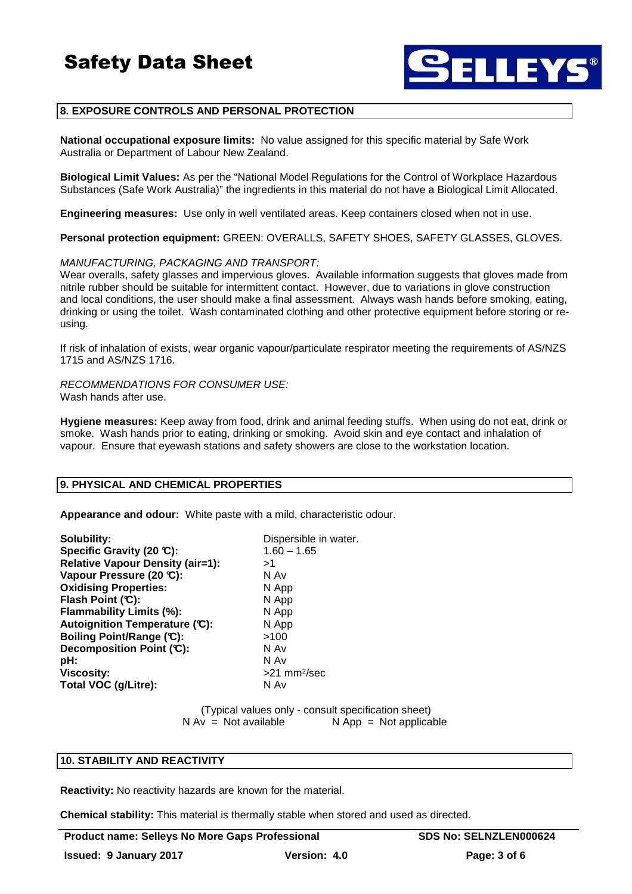

## **8. EXPOSURE CONTROLS AND PERSONAL PROTECTION**

**National occupational exposure limits:** No value assigned for this specific material by Safe Work Australia or Department of Labour New Zealand.

**Biological Limit Values:** As per the "National Model Regulations for the Control of Workplace Hazardous Substances (Safe Work Australia)" the ingredients in this material do not have a Biological Limit Allocated.

**Engineering measures:** Use only in well ventilated areas. Keep containers closed when not in use.

**Personal protection equipment:** GREEN: OVERALLS, SAFETY SHOES, SAFETY GLASSES, GLOVES.

#### MANUFACTURING, PACKAGING AND TRANSPORT:

Wear overalls, safety glasses and impervious gloves. Available information suggests that gloves made from nitrile rubber should be suitable for intermittent contact. However, due to variations in glove construction and local conditions, the user should make a final assessment. Always wash hands before smoking, eating, drinking or using the toilet. Wash contaminated clothing and other protective equipment before storing or reusing.

If risk of inhalation of exists, wear organic vapour/particulate respirator meeting the requirements of AS/NZS 1715 and AS/NZS 1716.

RECOMMENDATIONS FOR CONSUMER USE: Wash hands after use.

**Hygiene measures:** Keep away from food, drink and animal feeding stuffs. When using do not eat, drink or smoke. Wash hands prior to eating, drinking or smoking. Avoid skin and eye contact and inhalation of vapour. Ensure that eyewash stations and safety showers are close to the workstation location.

#### **9. PHYSICAL AND CHEMICAL PROPERTIES**

**Appearance and odour:** White paste with a mild, characteristic odour.

| Solubility:                             | Dispersible in water.      |
|-----------------------------------------|----------------------------|
| Specific Gravity (20 °C):               | $1.60 - 1.65$              |
| <b>Relative Vapour Density (air=1):</b> | >1                         |
| Vapour Pressure (20 °C):                | N Av                       |
| <b>Oxidising Properties:</b>            | N App                      |
| Flash Point (C):                        | N App                      |
| Flammability Limits (%):                | N App                      |
| Autoignition Temperature (C):           | N App                      |
| Boiling Point/Range (C):                | >100                       |
| Decomposition Point (C):                | N Av                       |
| pH:                                     | N Av                       |
| <b>Viscosity:</b>                       | $>21$ mm <sup>2</sup> /sec |
| Total VOC (g/Litre):                    | N Av                       |

 (Typical values only - consult specification sheet)  $N Av = Not available$   $N App = Not applicable$ 

## **10. STABILITY AND REACTIVITY**

**Reactivity:** No reactivity hazards are known for the material.

**Chemical stability:** This material is thermally stable when stored and used as directed.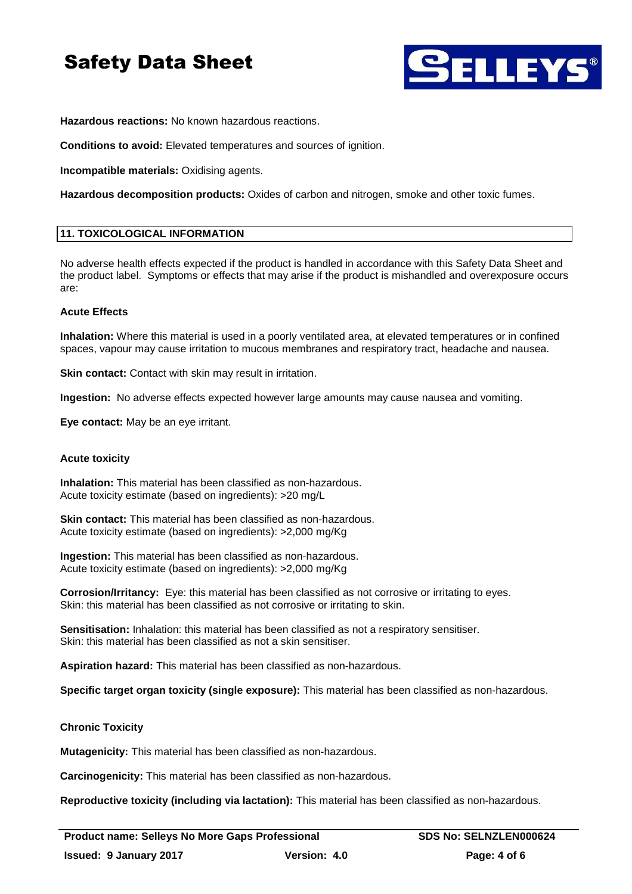

**Hazardous reactions:** No known hazardous reactions.

**Conditions to avoid:** Elevated temperatures and sources of ignition.

**Incompatible materials:** Oxidising agents.

**Hazardous decomposition products:** Oxides of carbon and nitrogen, smoke and other toxic fumes.

## **11. TOXICOLOGICAL INFORMATION**

No adverse health effects expected if the product is handled in accordance with this Safety Data Sheet and the product label. Symptoms or effects that may arise if the product is mishandled and overexposure occurs are:

## **Acute Effects**

**Inhalation:** Where this material is used in a poorly ventilated area, at elevated temperatures or in confined spaces, vapour may cause irritation to mucous membranes and respiratory tract, headache and nausea.

**Skin contact:** Contact with skin may result in irritation.

**Ingestion:** No adverse effects expected however large amounts may cause nausea and vomiting.

**Eye contact:** May be an eye irritant.

## **Acute toxicity**

**Inhalation:** This material has been classified as non-hazardous. Acute toxicity estimate (based on ingredients): >20 mg/L

**Skin contact:** This material has been classified as non-hazardous. Acute toxicity estimate (based on ingredients): >2,000 mg/Kg

**Ingestion:** This material has been classified as non-hazardous. Acute toxicity estimate (based on ingredients): >2,000 mg/Kg

**Corrosion/Irritancy:** Eye: this material has been classified as not corrosive or irritating to eyes. Skin: this material has been classified as not corrosive or irritating to skin.

**Sensitisation:** Inhalation: this material has been classified as not a respiratory sensitiser. Skin: this material has been classified as not a skin sensitiser.

**Aspiration hazard:** This material has been classified as non-hazardous.

**Specific target organ toxicity (single exposure):** This material has been classified as non-hazardous.

## **Chronic Toxicity**

**Mutagenicity:** This material has been classified as non-hazardous.

**Carcinogenicity:** This material has been classified as non-hazardous.

**Reproductive toxicity (including via lactation):** This material has been classified as non-hazardous.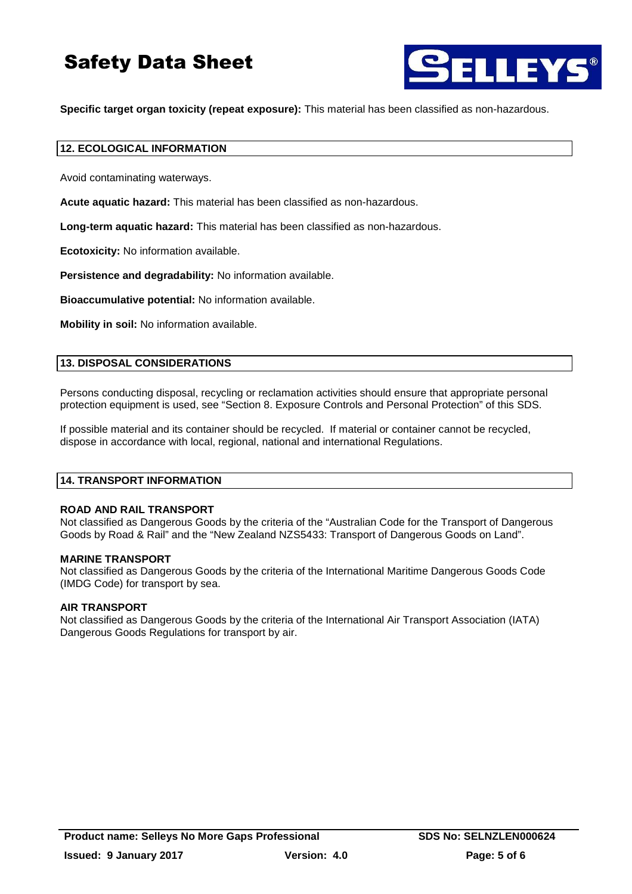

**Specific target organ toxicity (repeat exposure):** This material has been classified as non-hazardous.

## **12. ECOLOGICAL INFORMATION**

Avoid contaminating waterways.

**Acute aquatic hazard:** This material has been classified as non-hazardous.

**Long-term aquatic hazard:** This material has been classified as non-hazardous.

**Ecotoxicity:** No information available.

**Persistence and degradability:** No information available.

**Bioaccumulative potential:** No information available.

**Mobility in soil:** No information available.

#### **13. DISPOSAL CONSIDERATIONS**

Persons conducting disposal, recycling or reclamation activities should ensure that appropriate personal protection equipment is used, see "Section 8. Exposure Controls and Personal Protection" of this SDS.

If possible material and its container should be recycled. If material or container cannot be recycled, dispose in accordance with local, regional, national and international Regulations.

### **14. TRANSPORT INFORMATION**

#### **ROAD AND RAIL TRANSPORT**

Not classified as Dangerous Goods by the criteria of the "Australian Code for the Transport of Dangerous Goods by Road & Rail" and the "New Zealand NZS5433: Transport of Dangerous Goods on Land".

#### **MARINE TRANSPORT**

Not classified as Dangerous Goods by the criteria of the International Maritime Dangerous Goods Code (IMDG Code) for transport by sea.

#### **AIR TRANSPORT**

Not classified as Dangerous Goods by the criteria of the International Air Transport Association (IATA) Dangerous Goods Regulations for transport by air.